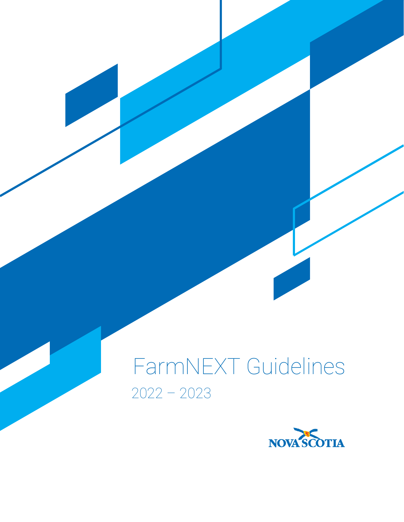# FarmNEXT Guidelines 2022 – 2023

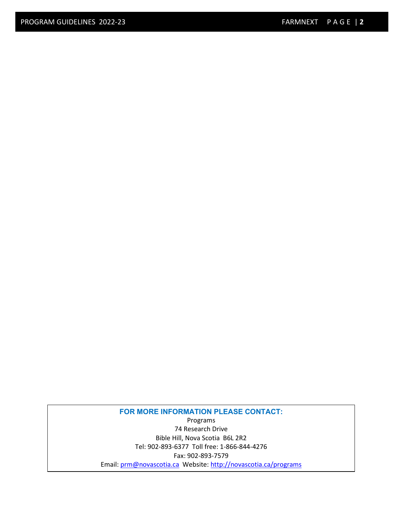**FOR MORE INFORMATION PLEASE CONTACT:** Programs 74 Research Drive Bible Hill, Nova Scotia B6L 2R2 Tel: 902-893-6377 Toll free: 1-866-844-4276 Fax: 902-893-7579 Email[: prm@novascotia.ca](mailto:prm@novascotia.ca) Website: http://novascotia.ca/programs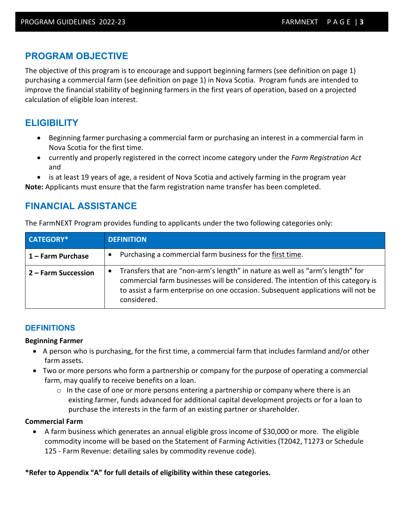# **PROGRAM OBJECTIVE**

The objective of this program is to encourage and support beginning farmers (see definition on page 1) purchasing a commercial farm (see definition on page 1) in Nova Scotia. Program funds are intended to improve the financial stability of beginning farmers in the first years of operation, based on a projected calculation of eligible loan interest.

# **ELIGIBILITY**

- Beginning farmer purchasing a commercial farm or purchasing an interest in a commercial farm in Nova Scotia for the first time.
- currently and properly registered in the correct income category under the *Farm Registration Act* and
- is at least 19 years of age, a resident of Nova Scotia and actively farming in the program year

**Note:** Applicants must ensure that the farm registration name transfer has been completed.

# **FINANCIAL ASSISTANCE**

The FarmNEXT Program provides funding to applicants under the two following categories only:

| <b>CATEGORY*</b>    | <b>DEFINITION</b>                                                                                                                                                                                                                                                                 |  |
|---------------------|-----------------------------------------------------------------------------------------------------------------------------------------------------------------------------------------------------------------------------------------------------------------------------------|--|
| 1 – Farm Purchase   | Purchasing a commercial farm business for the first time.<br>$\bullet$                                                                                                                                                                                                            |  |
| 2 – Farm Succession | Transfers that are "non-arm's length" in nature as well as "arm's length" for<br>$\bullet$<br>commercial farm businesses will be considered. The intention of this category is<br>to assist a farm enterprise on one occasion. Subsequent applications will not be<br>considered. |  |

### **DEFINITIONS**

#### **Beginning Farmer**

- A person who is purchasing, for the first time, a commercial farm that includes farmland and/or other farm assets.
- Two or more persons who form a partnership or company for the purpose of operating a commercial farm, may qualify to receive benefits on a loan.
	- $\circ$  In the case of one or more persons entering a partnership or company where there is an existing farmer, funds advanced for additional capital development projects or for a loan to purchase the interests in the farm of an existing partner or shareholder.

#### **Commercial Farm**

• A farm business which generates an annual eligible gross income of \$30,000 or more. The eligible commodity income will be based on the Statement of Farming Activities (T2042, T1273 or Schedule 125 - Farm Revenue: detailing sales by commodity revenue code).

### **\*Refer to Appendix "A" for full details of eligibility within these categories.**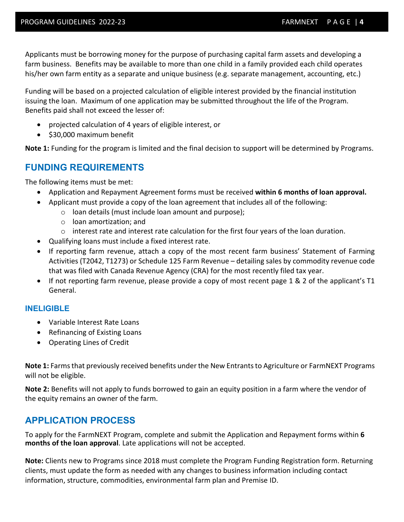Applicants must be borrowing money for the purpose of purchasing capital farm assets and developing a farm business. Benefits may be available to more than one child in a family provided each child operates his/her own farm entity as a separate and unique business (e.g. separate management, accounting, etc.)

Funding will be based on a projected calculation of eligible interest provided by the financial institution issuing the loan. Maximum of one application may be submitted throughout the life of the Program. Benefits paid shall not exceed the lesser of:

- projected calculation of 4 years of eligible interest, or
- \$30,000 maximum benefit

**Note 1:** Funding for the program is limited and the final decision to support will be determined by Programs.

## **FUNDING REQUIREMENTS**

The following items must be met:

- Application and Repayment Agreement forms must be received **within 6 months of loan approval.**
- Applicant must provide a copy of the loan agreement that includes all of the following:
	- o loan details (must include loan amount and purpose);
	- o loan amortization; and
	- $\circ$  interest rate and interest rate calculation for the first four years of the loan duration.
- Qualifying loans must include a fixed interest rate.
- If reporting farm revenue, attach a copy of the most recent farm business' Statement of Farming Activities (T2042, T1273) or Schedule 125 Farm Revenue – detailing sales by commodity revenue code that was filed with Canada Revenue Agency (CRA) for the most recently filed tax year.
- If not reporting farm revenue, please provide a copy of most recent page 1 & 2 of the applicant's T1 General.

### **INELIGIBLE**

- Variable Interest Rate Loans
- Refinancing of Existing Loans
- Operating Lines of Credit

**Note 1:** Farms that previously received benefits under the New Entrants to Agriculture or FarmNEXT Programs will not be eligible.

**Note 2:** Benefits will not apply to funds borrowed to gain an equity position in a farm where the vendor of the equity remains an owner of the farm.

# **APPLICATION PROCESS**

To apply for the FarmNEXT Program, complete and submit the Application and Repayment forms within **6 months of the loan approval**. Late applications will not be accepted.

**Note:** Clients new to Programs since 2018 must complete the Program Funding Registration form. Returning clients, must update the form as needed with any changes to business information including contact information, structure, commodities, environmental farm plan and Premise ID.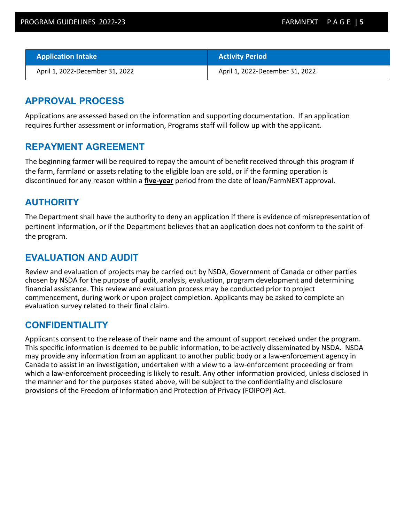| <b>Application Intake</b>       | <b>Activity Period</b>          |
|---------------------------------|---------------------------------|
| April 1, 2022-December 31, 2022 | April 1, 2022-December 31, 2022 |

## **APPROVAL PROCESS**

Applications are assessed based on the information and supporting documentation. If an application requires further assessment or information, Programs staff will follow up with the applicant.

## **REPAYMENT AGREEMENT**

The beginning farmer will be required to repay the amount of benefit received through this program if the farm, farmland or assets relating to the eligible loan are sold, or if the farming operation is discontinued for any reason within a **five-year** period from the date of loan/FarmNEXT approval.

## **AUTHORITY**

The Department shall have the authority to deny an application if there is evidence of misrepresentation of pertinent information, or if the Department believes that an application does not conform to the spirit of the program.

## **EVALUATION AND AUDIT**

Review and evaluation of projects may be carried out by NSDA, Government of Canada or other parties chosen by NSDA for the purpose of audit, analysis, evaluation, program development and determining financial assistance. This review and evaluation process may be conducted prior to project commencement, during work or upon project completion. Applicants may be asked to complete an evaluation survey related to their final claim.

## **CONFIDENTIALITY**

Applicants consent to the release of their name and the amount of support received under the program. This specific information is deemed to be public information, to be actively disseminated by NSDA. NSDA may provide any information from an applicant to another public body or a law-enforcement agency in Canada to assist in an investigation, undertaken with a view to a law-enforcement proceeding or from which a law-enforcement proceeding is likely to result. Any other information provided, unless disclosed in the manner and for the purposes stated above, will be subject to the confidentiality and disclosure provisions of the Freedom of Information and Protection of Privacy (FOIPOP) Act.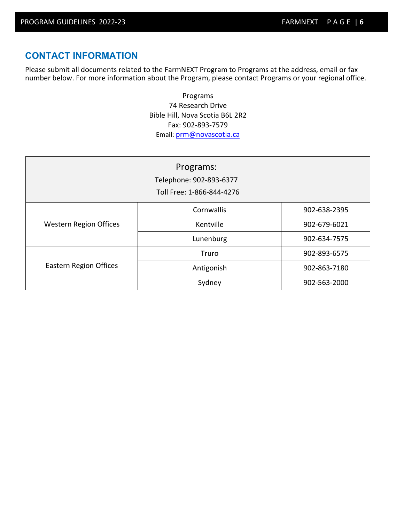# **CONTACT INFORMATION**

Please submit all documents related to the FarmNEXT Program to Programs at the address, email or fax number below. For more information about the Program, please contact Programs or your regional office.

> Programs 74 Research Drive Bible Hill, Nova Scotia B6L 2R2 Fax: 902-893-7579 Email[: prm@novascotia.ca](mailto:prm@novascotia.ca)

| Programs:<br>Telephone: 902-893-6377<br>Toll Free: 1-866-844-4276 |            |              |  |  |
|-------------------------------------------------------------------|------------|--------------|--|--|
|                                                                   | Cornwallis | 902-638-2395 |  |  |
| <b>Western Region Offices</b>                                     | Kentville  | 902-679-6021 |  |  |
|                                                                   | Lunenburg  | 902-634-7575 |  |  |
|                                                                   | Truro      | 902-893-6575 |  |  |
| <b>Eastern Region Offices</b>                                     | Antigonish | 902-863-7180 |  |  |
|                                                                   | Sydney     | 902-563-2000 |  |  |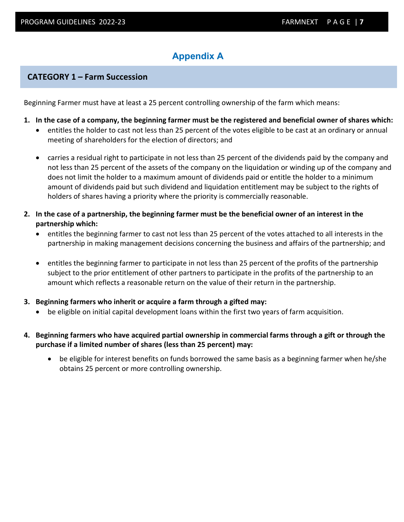# **Appendix A**

## **CATEGORY 1 – Farm Succession**

Beginning Farmer must have at least a 25 percent controlling ownership of the farm which means:

- **1. In the case of a company, the beginning farmer must be the registered and beneficial owner of shares which:**
	- entitles the holder to cast not less than 25 percent of the votes eligible to be cast at an ordinary or annual meeting of shareholders for the election of directors; and
	- carries a residual right to participate in not less than 25 percent of the dividends paid by the company and not less than 25 percent of the assets of the company on the liquidation or winding up of the company and does not limit the holder to a maximum amount of dividends paid or entitle the holder to a minimum amount of dividends paid but such dividend and liquidation entitlement may be subject to the rights of holders of shares having a priority where the priority is commercially reasonable.
- **2. In the case of a partnership, the beginning farmer must be the beneficial owner of an interest in the partnership which:**
	- entitles the beginning farmer to cast not less than 25 percent of the votes attached to all interests in the partnership in making management decisions concerning the business and affairs of the partnership; and
	- entitles the beginning farmer to participate in not less than 25 percent of the profits of the partnership subject to the prior entitlement of other partners to participate in the profits of the partnership to an amount which reflects a reasonable return on the value of their return in the partnership.

#### **3. Beginning farmers who inherit or acquire a farm through a gifted may:**

- be eligible on initial capital development loans within the first two years of farm acquisition.
- **4. Beginning farmers who have acquired partial ownership in commercial farms through a gift or through the purchase if a limited number of shares (less than 25 percent) may:**
	- be eligible for interest benefits on funds borrowed the same basis as a beginning farmer when he/she obtains 25 percent or more controlling ownership.